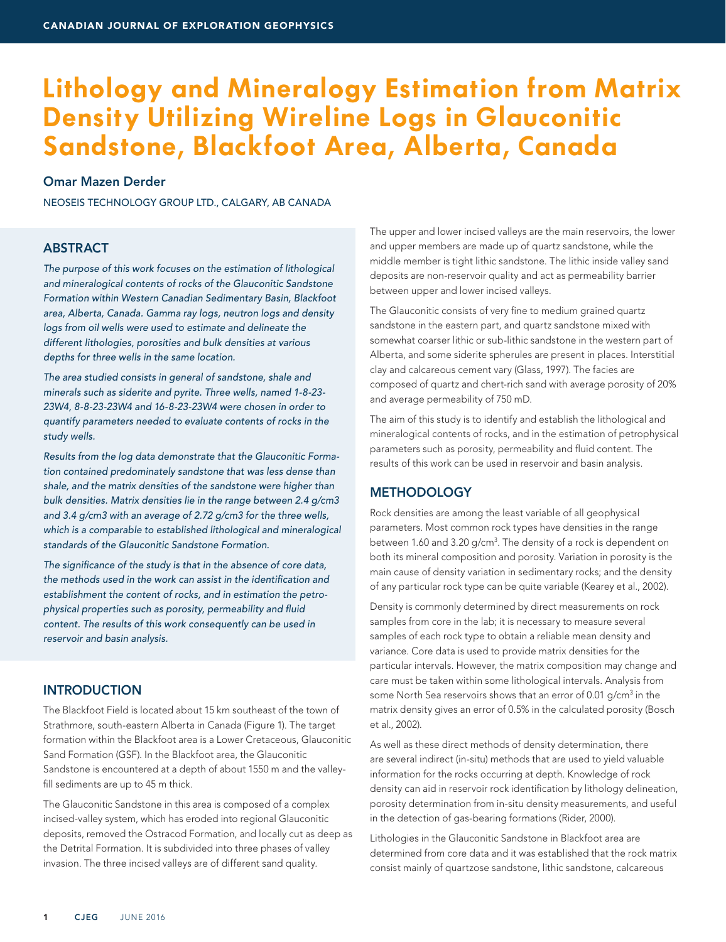# **Lithology and Mineralogy Estimation from Matrix Density Utilizing Wireline Logs in Glauconitic Sandstone, Blackfoot Area, Alberta, Canada**

# Omar Mazen Derder

NEOSEIS TECHNOLOGY GROUP LTD., CALGARY, AB CANADA

# **ABSTRACT**

*The purpose of this work focuses on the estimation of lithological and mineralogical contents of rocks of the Glauconitic Sandstone Formation within Western Canadian Sedimentary Basin, Blackfoot area, Alberta, Canada. Gamma ray logs, neutron logs and density*  logs from oil wells were used to estimate and delineate the *different lithologies, porosities and bulk densities at various depths for three wells in the same location.*

*The area studied consists in general of sandstone, shale and minerals such as siderite and pyrite. Three wells, named 1-8-23- 23W4, 8-8-23-23W4 and 16-8-23-23W4 were chosen in order to quantify parameters needed to evaluate contents of rocks in the study wells.* 

*Results from the log data demonstrate that the Glauconitic Formation contained predominately sandstone that was less dense than shale, and the matrix densities of the sandstone were higher than bulk densities. Matrix densities lie in the range between 2.4 g/cm3 and 3.4 g/cm3 with an average of 2.72 g/cm3 for the three wells, which is a comparable to established lithological and mineralogical standards of the Glauconitic Sandstone Formation.* 

*The significance of the study is that in the absence of core data, the methods used in the work can assist in the identification and establishment the content of rocks, and in estimation the petrophysical properties such as porosity, permeability and fluid content. The results of this work consequently can be used in reservoir and basin analysis.* 

# **INTRODUCTION**

The Blackfoot Field is located about 15 km southeast of the town of Strathmore, south-eastern Alberta in Canada (Figure 1). The target formation within the Blackfoot area is a Lower Cretaceous, Glauconitic Sand Formation (GSF). In the Blackfoot area, the Glauconitic Sandstone is encountered at a depth of about 1550 m and the valleyfill sediments are up to 45 m thick.

The Glauconitic Sandstone in this area is composed of a complex incised-valley system, which has eroded into regional Glauconitic deposits, removed the Ostracod Formation, and locally cut as deep as the Detrital Formation. It is subdivided into three phases of valley invasion. The three incised valleys are of different sand quality.

The upper and lower incised valleys are the main reservoirs, the lower and upper members are made up of quartz sandstone, while the middle member is tight lithic sandstone. The lithic inside valley sand deposits are non-reservoir quality and act as permeability barrier between upper and lower incised valleys.

The Glauconitic consists of very fine to medium grained quartz sandstone in the eastern part, and quartz sandstone mixed with somewhat coarser lithic or sub-lithic sandstone in the western part of Alberta, and some siderite spherules are present in places. Interstitial clay and calcareous cement vary (Glass, 1997). The facies are composed of quartz and chert-rich sand with average porosity of 20% and average permeability of 750 mD.

The aim of this study is to identify and establish the lithological and mineralogical contents of rocks, and in the estimation of petrophysical parameters such as porosity, permeability and fluid content. The results of this work can be used in reservoir and basin analysis.

## **METHODOLOGY**

Rock densities are among the least variable of all geophysical parameters. Most common rock types have densities in the range between 1.60 and 3.20 g/cm $^3$ . The density of a rock is dependent on both its mineral composition and porosity. Variation in porosity is the main cause of density variation in sedimentary rocks; and the density of any particular rock type can be quite variable (Kearey et al., 2002).

Density is commonly determined by direct measurements on rock samples from core in the lab; it is necessary to measure several samples of each rock type to obtain a reliable mean density and variance. Core data is used to provide matrix densities for the particular intervals. However, the matrix composition may change and care must be taken within some lithological intervals. Analysis from some North Sea reservoirs shows that an error of 0.01 g/cm<sup>3</sup> in the matrix density gives an error of 0.5% in the calculated porosity (Bosch et al., 2002).

As well as these direct methods of density determination, there are several indirect (in-situ) methods that are used to yield valuable information for the rocks occurring at depth. Knowledge of rock density can aid in reservoir rock identification by lithology delineation, porosity determination from in-situ density measurements, and useful in the detection of gas-bearing formations (Rider, 2000).

Lithologies in the Glauconitic Sandstone in Blackfoot area are determined from core data and it was established that the rock matrix consist mainly of quartzose sandstone, lithic sandstone, calcareous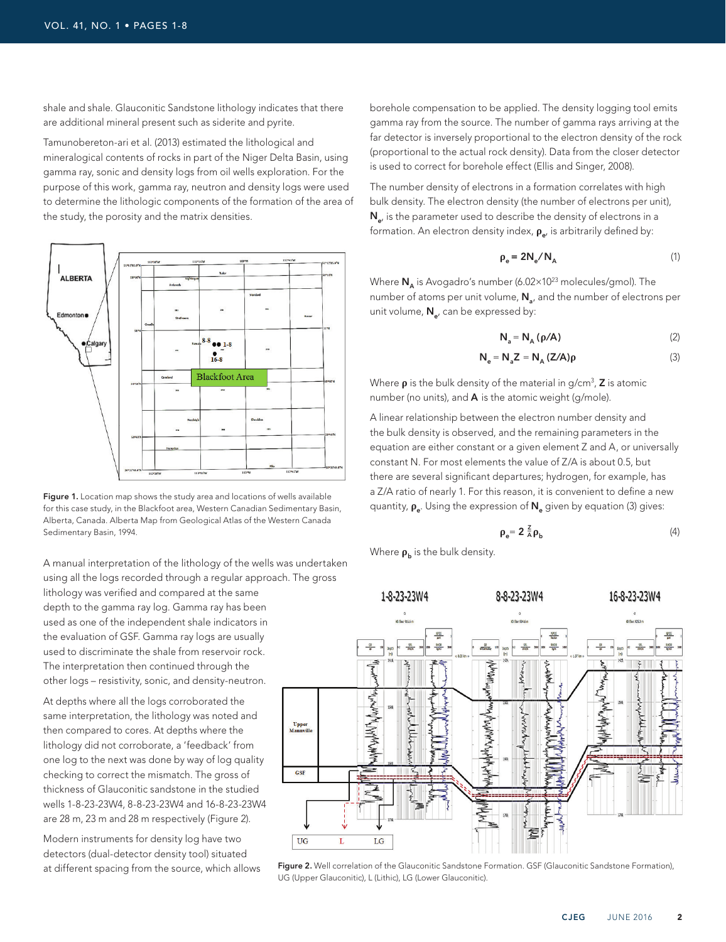shale and shale. Glauconitic Sandstone lithology indicates that there are additional mineral present such as siderite and pyrite.

Tamunobereton-ari et al. (2013) estimated the lithological and mineralogical contents of rocks in part of the Niger Delta Basin, using gamma ray, sonic and density logs from oil wells exploration. For the purpose of this work, gamma ray, neutron and density logs were used to determine the lithologic components of the formation of the area of the study, the porosity and the matrix densities.



Figure 1. Location map shows the study area and locations of wells available for this case study, in the Blackfoot area, Western Canadian Sedimentary Basin, Alberta, Canada. Alberta Map from Geological Atlas of the Western Canada Sedimentary Basin, 1994.

A manual interpretation of the lithology of the wells was undertaken using all the logs recorded through a regular approach. The gross

lithology was verified and compared at the same depth to the gamma ray log. Gamma ray has been used as one of the independent shale indicators in the evaluation of GSF. Gamma ray logs are usually used to discriminate the shale from reservoir rock. The interpretation then continued through the other logs – resistivity, sonic, and density-neutron.

At depths where all the logs corroborated the same interpretation, the lithology was noted and then compared to cores. At depths where the lithology did not corroborate, a 'feedback' from one log to the next was done by way of log quality checking to correct the mismatch. The gross of thickness of Glauconitic sandstone in the studied wells 1-8-23-23W4, 8-8-23-23W4 and 16-8-23-23W4 are 28 m, 23 m and 28 m respectively (Figure 2).

Modern instruments for density log have two detectors (dual-detector density tool) situated at different spacing from the source, which allows

borehole compensation to be applied. The density logging tool emits gamma ray from the source. The number of gamma rays arriving at the far detector is inversely proportional to the electron density of the rock (proportional to the actual rock density). Data from the closer detector is used to correct for borehole effect (Ellis and Singer, 2008).

The number density of electrons in a formation correlates with high bulk density. The electron density (the number of electrons per unit),  $N_{e}$ , is the parameter used to describe the density of electrons in a formation. An electron density index,  $\rho_{e}$ , is arbitrarily defined by:

$$
\rho_e = 2N_e / N_A \tag{1}
$$

Where  $N_A$  is Avogadro's number (6.02×10<sup>23</sup> molecules/gmol). The number of atoms per unit volume,  $N<sub>a</sub>$ , and the number of electrons per unit volume,  $N_{e}$ , can be expressed by:

$$
N_a = N_A (\rho/A)
$$
 (2)

$$
N_e = N_a Z = N_A (Z/A)\rho
$$
 (3)

Where  $\rho$  is the bulk density of the material in g/cm<sup>3</sup>, **Z** is atomic number (no units), and  $A$  is the atomic weight (g/mole).

A linear relationship between the electron number density and the bulk density is observed, and the remaining parameters in the equation are either constant or a given element Z and A, or universally constant N. For most elements the value of Z/A is about 0.5, but there are several significant departures; hydrogen, for example, has a Z/A ratio of nearly 1. For this reason, it is convenient to define a new quantity, **ρ**<sub>e</sub>. Using the expression of **N**<sub>e</sub> given by equation (3) gives:

$$
\rho_e = 2 \frac{z}{A} \rho_b \tag{4}
$$

Where  $\rho_b$  is the bulk density.



Figure 2. Well correlation of the Glauconitic Sandstone Formation. GSF (Glauconitic Sandstone Formation), UG (Upper Glauconitic), L (Lithic), LG (Lower Glauconitic).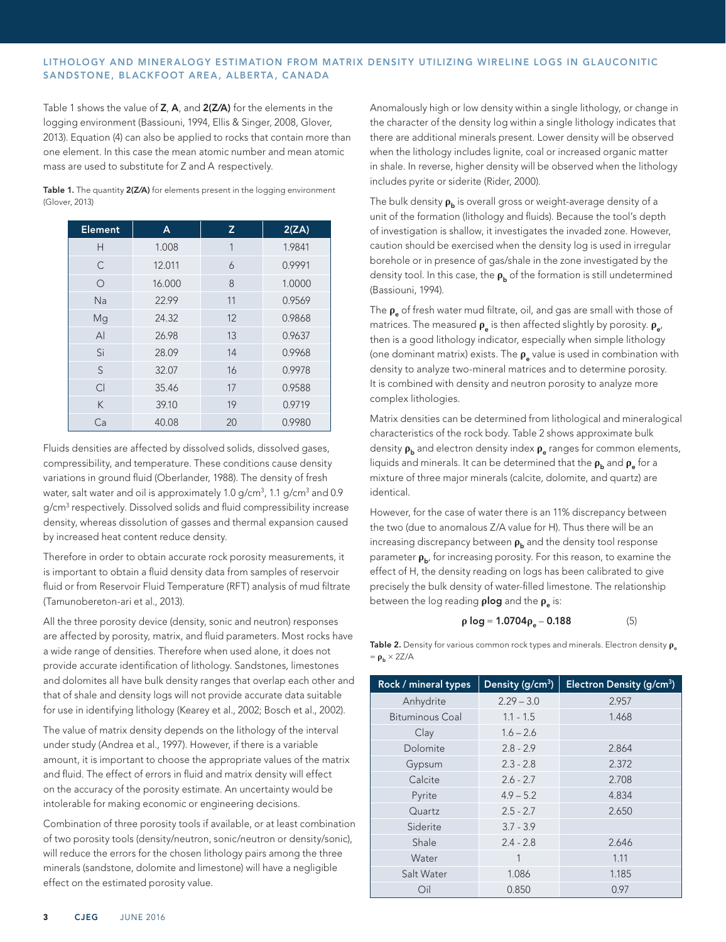### LITHOLOGY AND MINERALOGY ESTIMATION FROM MATRIX DENSITY UTILIZING WIRELINE LOGS IN GLAUCONITIC SANDSTONE, BLACKFOOT AREA, ALBERTA, CANADA

Table 1 shows the value of Z, A, and 2(Z/A) for the elements in the logging environment (Bassiouni, 1994, Ellis & Singer, 2008, Glover, 2013). Equation (4) can also be applied to rocks that contain more than one element. In this case the mean atomic number and mean atomic mass are used to substitute for Z and A respectively.

| <b>Element</b> | A      | z  | 2(ZA)  |
|----------------|--------|----|--------|
| H              | 1.008  | 1  | 1.9841 |
| C              | 12.011 | 6  | 0.9991 |
| $\circ$        | 16.000 | 8  | 1.0000 |
| <b>Na</b>      | 22.99  | 11 | 0.9569 |
| Mg             | 24.32  | 12 | 0.9868 |
| $\mathsf{A}$   | 26.98  | 13 | 0.9637 |
| Si             | 28.09  | 14 | 0.9968 |
| S              | 32.07  | 16 | 0.9978 |
| C <sub>l</sub> | 35.46  | 17 | 0.9588 |
| K              | 39.10  | 19 | 0.9719 |
| Ca             | 40.08  | 20 | 0.9980 |

Table 1. The quantity 2(Z/A) for elements present in the logging environment (Glover, 2013)

Fluids densities are affected by dissolved solids, dissolved gases, compressibility, and temperature. These conditions cause density variations in ground fluid (Oberlander, 1988). The density of fresh water, salt water and oil is approximately 1.0 g/cm $^3$ , 1.1 g/cm $^3$  and 0.9  $\,$ g/cm<sup>3</sup> respectively. Dissolved solids and fluid compressibility increase density, whereas dissolution of gasses and thermal expansion caused by increased heat content reduce density.

Therefore in order to obtain accurate rock porosity measurements, it is important to obtain a fluid density data from samples of reservoir fluid or from Reservoir Fluid Temperature (RFT) analysis of mud filtrate (Tamunobereton-ari et al., 2013).

All the three porosity device (density, sonic and neutron) responses are affected by porosity, matrix, and fluid parameters. Most rocks have a wide range of densities. Therefore when used alone, it does not provide accurate identification of lithology. Sandstones, limestones and dolomites all have bulk density ranges that overlap each other and that of shale and density logs will not provide accurate data suitable for use in identifying lithology (Kearey et al., 2002; Bosch et al., 2002).

The value of matrix density depends on the lithology of the interval under study (Andrea et al., 1997). However, if there is a variable amount, it is important to choose the appropriate values of the matrix and fluid. The effect of errors in fluid and matrix density will effect on the accuracy of the porosity estimate. An uncertainty would be intolerable for making economic or engineering decisions.

Combination of three porosity tools if available, or at least combination of two porosity tools (density/neutron, sonic/neutron or density/sonic), will reduce the errors for the chosen lithology pairs among the three minerals (sandstone, dolomite and limestone) will have a negligible effect on the estimated porosity value.

Anomalously high or low density within a single lithology, or change in the character of the density log within a single lithology indicates that there are additional minerals present. Lower density will be observed when the lithology includes lignite, coal or increased organic matter in shale. In reverse, higher density will be observed when the lithology includes pyrite or siderite (Rider, 2000).

The bulk density  $ρ<sub>b</sub>$  is overall gross or weight-average density of a unit of the formation (lithology and fluids). Because the tool's depth of investigation is shallow, it investigates the invaded zone. However, caution should be exercised when the density log is used in irregular borehole or in presence of gas/shale in the zone investigated by the density tool. In this case, the **ρ**<sub>b</sub> of the formation is still undetermined (Bassiouni, 1994).

The **ρ**<sub>e</sub> of fresh water mud filtrate, oil, and gas are small with those of matrices. The measured **ρ**<sub>e</sub> is then affected slightly by porosity. **ρ**<sub>e</sub>, then is a good lithology indicator, especially when simple lithology (one dominant matrix) exists. The *ρ*<sub>e</sub> value is used in combination with density to analyze two-mineral matrices and to determine porosity. It is combined with density and neutron porosity to analyze more complex lithologies.

Matrix densities can be determined from lithological and mineralogical characteristics of the rock body. Table 2 shows approximate bulk density **ρ**<sub>b</sub> and electron density index **ρ**<sub>e</sub> ranges for common elements, liquids and minerals. It can be determined that the **ρ**<sub>b</sub> and **ρ**<sub>a</sub> for a mixture of three major minerals (calcite, dolomite, and quartz) are identical.

However, for the case of water there is an 11% discrepancy between the two (due to anomalous Z/A value for H). Thus there will be an increasing discrepancy between *p*<sub>b</sub> and the density tool response parameter  $ρ_{b}$ , for increasing porosity. For this reason, to examine the effect of H, the density reading on logs has been calibrated to give precisely the bulk density of water-filled limestone. The relationship between the log reading **plog** and the **ρ**<sub>e</sub> is:

$$
\rho \log = 1.0704 \rho_e - 0.188 \tag{5}
$$

Table 2. Density for various common rock types and minerals. Electron density  $ρ<sub>e</sub>$  $= \rho_b \times 2Z/A$ 

| Rock / mineral types   | Density (g/cm <sup>3</sup> ) | Electron Density (g/cm <sup>3</sup> ) |
|------------------------|------------------------------|---------------------------------------|
| Anhydrite              | $2.29 - 3.0$                 | 2.957                                 |
| <b>Bituminous Coal</b> | $1.1 - 1.5$                  | 1.468                                 |
| Clay                   | $1.6 - 2.6$                  |                                       |
| Dolomite               | $2.8 - 2.9$                  | 2.864                                 |
| Gypsum                 | $2.3 - 2.8$                  | 2.372                                 |
| Calcite                | $2.6 - 2.7$                  | 2.708                                 |
| Pyrite                 | $4.9 - 5.2$                  | 4.834                                 |
| Quartz                 | $2.5 - 2.7$                  | 2.650                                 |
| Siderite               | $3.7 - 3.9$                  |                                       |
| Shale                  | $2.4 - 2.8$                  | 2.646                                 |
| Water                  | 1                            | 1.11                                  |
| Salt Water             | 1.086                        | 1.185                                 |
| Oil                    | 0.850                        | 0.97                                  |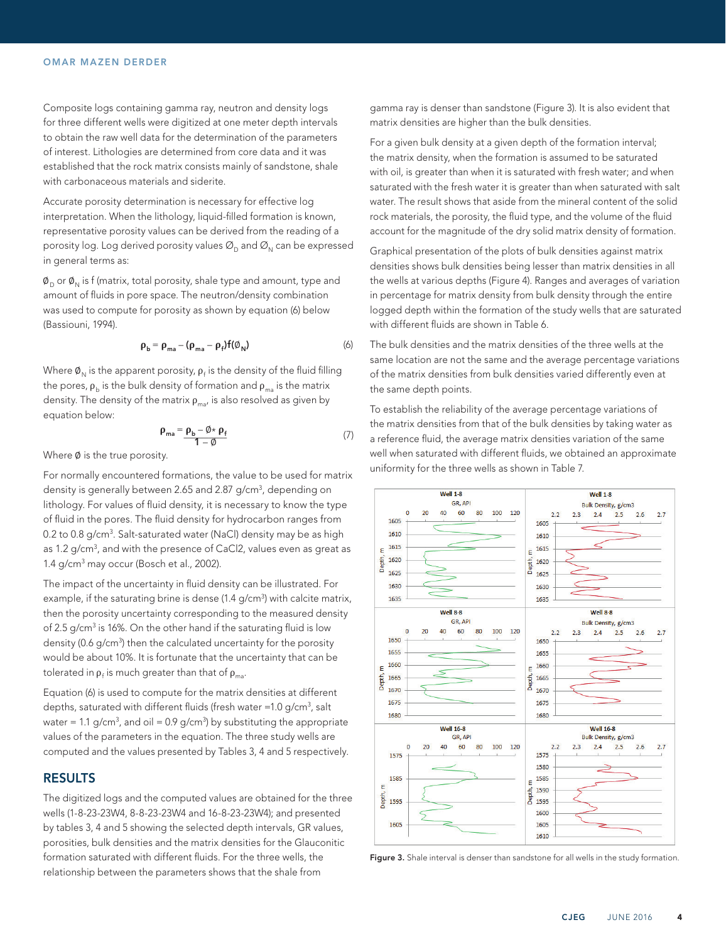#### OMAR MAZEN DERDER

Composite logs containing gamma ray, neutron and density logs for three different wells were digitized at one meter depth intervals to obtain the raw well data for the determination of the parameters of interest. Lithologies are determined from core data and it was established that the rock matrix consists mainly of sandstone, shale with carbonaceous materials and siderite.

Accurate porosity determination is necessary for effective log interpretation. When the lithology, liquid-filled formation is known, representative porosity values can be derived from the reading of a porosity log. Log derived porosity values  $\mathcal{O}_D$  and  $\mathcal{O}_N$  can be expressed in general terms as:

 $\phi_{\text{D}}$  or  $\phi_{\text{N}}$  is f (matrix, total porosity, shale type and amount, type and amount of fluids in pore space. The neutron/density combination was used to compute for porosity as shown by equation (6) below (Bassiouni, 1994).

$$
\rho_{\rm b} = \rho_{\rm ma} - (\rho_{\rm ma} - \rho_{\rm f}) f(\emptyset_{\rm N})
$$
 (6)

Where  $\boldsymbol{\varnothing}_\text{N}$  is the apparent porosity,  $\boldsymbol{\mathsf{p}}_\text{f}$  is the density of the fluid filling the pores,  $\rho_b$  is the bulk density of formation and  $\rho_m$  is the matrix density. The density of the matrix  $\rho_{max}$  is also resolved as given by equation below:

$$
\rho_{\text{ma}} = \frac{\rho_b - \emptyset \star \rho_f}{1 - \emptyset} \tag{7}
$$

Where Ø is the true porosity.

For normally encountered formations, the value to be used for matrix density is generally between 2.65 and 2.87 g/cm<sup>3</sup>, depending on lithology. For values of fluid density, it is necessary to know the type of fluid in the pores. The fluid density for hydrocarbon ranges from 0.2 to 0.8 g/cm<sup>3</sup>. Salt-saturated water (NaCl) density may be as high as 1.2  $g/cm<sup>3</sup>$ , and with the presence of CaCl2, values even as great as 1.4 g/cm<sup>3</sup> may occur (Bosch et al., 2002).

The impact of the uncertainty in fluid density can be illustrated. For example, if the saturating brine is dense (1.4 g/cm<sup>3</sup>) with calcite matrix, then the porosity uncertainty corresponding to the measured density of 2.5 g/cm<sup>3</sup> is 16%. On the other hand if the saturating fluid is low density (0.6 g/cm<sup>3</sup>) then the calculated uncertainty for the porosity would be about 10%. It is fortunate that the uncertainty that can be tolerated in  $\rho_{\scriptscriptstyle\rm f}$  is much greater than that of  $\rho_{\scriptscriptstyle\rm ma}$ .

Equation (6) is used to compute for the matrix densities at different depths, saturated with different fluids (fresh water =1.0 g/cm $^3$ , salt water = 1.1 g/cm<sup>3</sup>, and oil = 0.9 g/cm<sup>3</sup>) by substituting the appropriate values of the parameters in the equation. The three study wells are computed and the values presented by Tables 3, 4 and 5 respectively.

## RESULTS

The digitized logs and the computed values are obtained for the three wells (1-8-23-23W4, 8-8-23-23W4 and 16-8-23-23W4); and presented by tables 3, 4 and 5 showing the selected depth intervals, GR values, porosities, bulk densities and the matrix densities for the Glauconitic formation saturated with different fluids. For the three wells, the relationship between the parameters shows that the shale from

gamma ray is denser than sandstone (Figure 3). It is also evident that matrix densities are higher than the bulk densities.

For a given bulk density at a given depth of the formation interval; the matrix density, when the formation is assumed to be saturated with oil, is greater than when it is saturated with fresh water; and when saturated with the fresh water it is greater than when saturated with salt water. The result shows that aside from the mineral content of the solid rock materials, the porosity, the fluid type, and the volume of the fluid account for the magnitude of the dry solid matrix density of formation.

Graphical presentation of the plots of bulk densities against matrix densities shows bulk densities being lesser than matrix densities in all the wells at various depths (Figure 4). Ranges and averages of variation in percentage for matrix density from bulk density through the entire logged depth within the formation of the study wells that are saturated with different fluids are shown in Table 6.

The bulk densities and the matrix densities of the three wells at the same location are not the same and the average percentage variations of the matrix densities from bulk densities varied differently even at the same depth points.

To establish the reliability of the average percentage variations of the matrix densities from that of the bulk densities by taking water as a reference fluid, the average matrix densities variation of the same well when saturated with different fluids, we obtained an approximate uniformity for the three wells as shown in Table 7.



Figure 3. Shale interval is denser than sandstone for all wells in the study formation.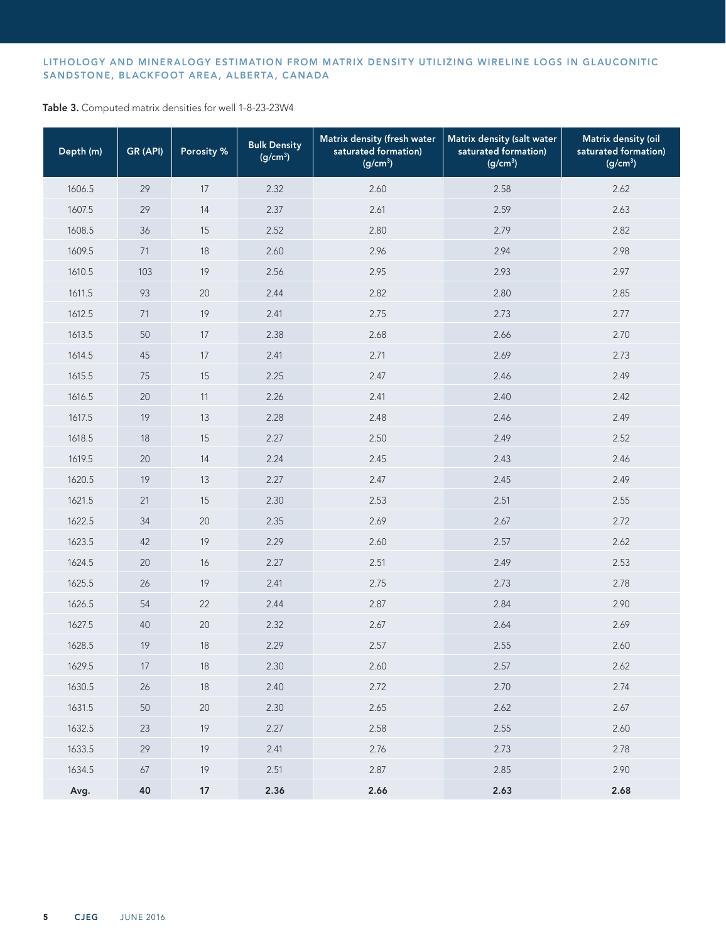## LITHOLOGY AND MINERALOGY ESTIMATION FROM MATRIX DENSITY UTILIZING WIRELINE LOGS IN GLAUCONITIC SANDSTONE, BLACKFOOT AREA, ALBERTA, CANADA

Table 3. Computed matrix densities for well 1-8-23-23W4

| Depth (m) | GR (API) | Porosity % | <b>Bulk Density</b><br>(g/cm <sup>3</sup> ) | Matrix density (fresh water<br>saturated formation)<br>(g/cm <sup>3</sup> ) | Matrix density (salt water<br>saturated formation)<br>$(g/cm^3)$ | Matrix density (oil<br>saturated formation)<br>(g/cm <sup>3</sup> ) |
|-----------|----------|------------|---------------------------------------------|-----------------------------------------------------------------------------|------------------------------------------------------------------|---------------------------------------------------------------------|
| 1606.5    | 29       | 17         | 2.32                                        | 2.60                                                                        | 2.58                                                             | 2.62                                                                |
| 1607.5    | 29       | 14         | 2.37                                        | 2.61                                                                        | 2.59                                                             | 2.63                                                                |
| 1608.5    | 36       | 15         | 2.52                                        | 2.80                                                                        | 2.79                                                             | 2.82                                                                |
| 1609.5    | 71       | 18         | 2.60                                        | 2.96                                                                        | 2.94                                                             | 2.98                                                                |
| 1610.5    | 103      | 19         | 2.56                                        | 2.95                                                                        | 2.93                                                             | 2.97                                                                |
| 1611.5    | 93       | 20         | 2.44                                        | 2.82                                                                        | 2.80                                                             | 2.85                                                                |
| 1612.5    | 71       | 19         | 2.41                                        | 2.75                                                                        | 2.73                                                             | 2.77                                                                |
| 1613.5    | 50       | 17         | 2.38                                        | 2.68                                                                        | 2.66                                                             | 2.70                                                                |
| 1614.5    | 45       | 17         | 2.41                                        | 2.71                                                                        | 2.69                                                             | 2.73                                                                |
| 1615.5    | 75       | 15         | 2.25                                        | 2.47                                                                        | 2.46                                                             | 2.49                                                                |
| 1616.5    | 20       | 11         | 2.26                                        | 2.41                                                                        | 2.40                                                             | 2.42                                                                |
| 1617.5    | 19       | 13         | 2.28                                        | 2.48                                                                        | 2.46                                                             | 2.49                                                                |
| 1618.5    | 18       | 15         | 2.27                                        | 2.50                                                                        | 2.49                                                             | 2.52                                                                |
| 1619.5    | 20       | 14         | 2.24                                        | 2.45                                                                        | 2.43                                                             | 2.46                                                                |
| 1620.5    | 19       | 13         | 2.27                                        | 2.47                                                                        | 2.45                                                             | 2.49                                                                |
| 1621.5    | 21       | 15         | 2.30                                        | 2.53                                                                        | 2.51                                                             | 2.55                                                                |
| 1622.5    | 34       | 20         | 2.35                                        | 2.69                                                                        | 2.67                                                             | 2.72                                                                |
| 1623.5    | 42       | 19         | 2.29                                        | 2.60                                                                        | 2.57                                                             | 2.62                                                                |
| 1624.5    | 20       | 16         | 2.27                                        | 2.51                                                                        | 2.49                                                             | 2.53                                                                |
| 1625.5    | 26       | 19         | 2.41                                        | 2.75                                                                        | 2.73                                                             | 2.78                                                                |
| 1626.5    | 54       | 22         | 2.44                                        | 2.87                                                                        | 2.84                                                             | 2.90                                                                |
| 1627.5    | 40       | 20         | 2.32                                        | 2.67                                                                        | 2.64                                                             | 2.69                                                                |
| 1628.5    | 19       | 18         | 2.29                                        | 2.57                                                                        | 2.55                                                             | 2.60                                                                |
| 1629.5    | 17       | 18         | 2.30                                        | 2.60                                                                        | 2.57                                                             | 2.62                                                                |
| 1630.5    | 26       | 18         | 2.40                                        | 2.72                                                                        | 2.70                                                             | 2.74                                                                |
| 1631.5    | 50       | 20         | 2.30                                        | 2.65                                                                        | 2.62                                                             | 2.67                                                                |
| 1632.5    | 23       | 19         | 2.27                                        | 2.58                                                                        | 2.55                                                             | 2.60                                                                |
| 1633.5    | 29       | 19         | 2.41                                        | 2.76                                                                        | 2.73                                                             | 2.78                                                                |
| 1634.5    | 67       | 19         | 2.51                                        | 2.87                                                                        | 2.85                                                             | 2.90                                                                |
| Avg.      | 40       | $17$       | 2.36                                        | 2.66                                                                        | 2.63                                                             | 2.68                                                                |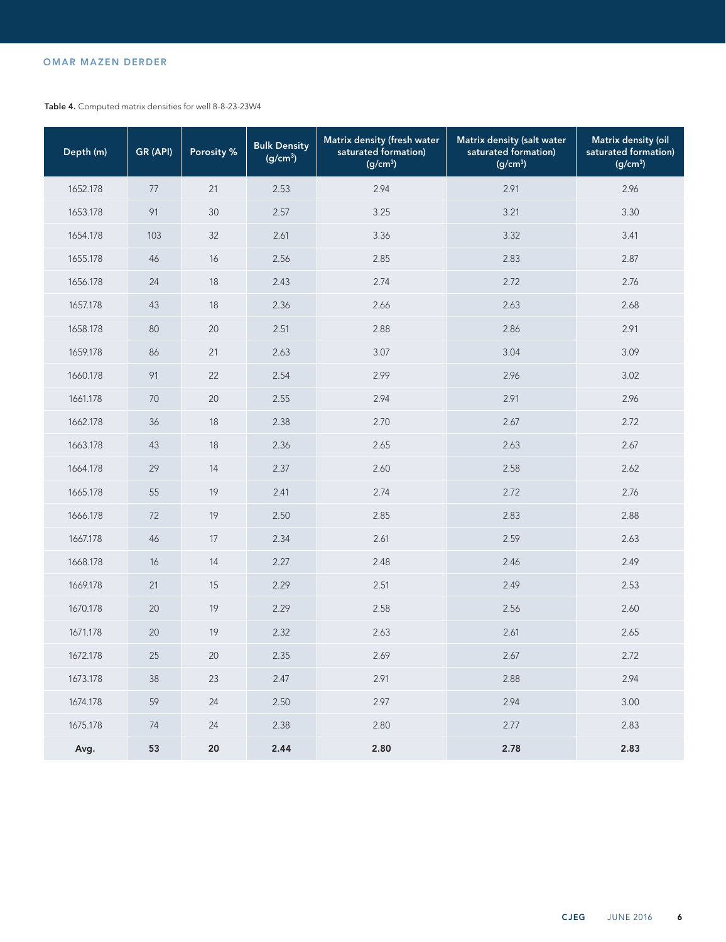# OMAR MAZEN DERDER

Table 4. Computed matrix densities for well 8-8-23-23W4

| Depth (m) | GR (API) | Porosity % | <b>Bulk Density</b><br>(g/cm <sup>3</sup> ) | Matrix density (fresh water<br>saturated formation)<br>(g/cm <sup>3</sup> ) | Matrix density (salt water<br>saturated formation)<br>(g/cm <sup>3</sup> ) | Matrix density (oil<br>saturated formation)<br>(g/cm <sup>3</sup> ) |
|-----------|----------|------------|---------------------------------------------|-----------------------------------------------------------------------------|----------------------------------------------------------------------------|---------------------------------------------------------------------|
| 1652.178  | 77       | 21         | 2.53                                        | 2.94                                                                        | 2.91                                                                       | 2.96                                                                |
| 1653.178  | 91       | 30         | 2.57                                        | 3.25                                                                        | 3.21                                                                       | 3.30                                                                |
| 1654.178  | 103      | 32         | 2.61                                        | 3.36                                                                        | 3.32                                                                       | 3.41                                                                |
| 1655.178  | 46       | 16         | 2.56                                        | 2.85                                                                        | 2.83                                                                       | 2.87                                                                |
| 1656.178  | 24       | 18         | 2.43                                        | 2.74                                                                        | 2.72                                                                       | 2.76                                                                |
| 1657.178  | 43       | 18         | 2.36                                        | 2.66                                                                        | 2.63                                                                       | 2.68                                                                |
| 1658.178  | 80       | 20         | 2.51                                        | 2.88                                                                        | 2.86                                                                       | 2.91                                                                |
| 1659.178  | 86       | 21         | 2.63                                        | 3.07                                                                        | 3.04                                                                       | 3.09                                                                |
| 1660.178  | 91       | 22         | 2.54                                        | 2.99                                                                        | 2.96                                                                       | 3.02                                                                |
| 1661.178  | 70       | 20         | 2.55                                        | 2.94                                                                        | 2.91                                                                       | 2.96                                                                |
| 1662.178  | 36       | 18         | 2.38                                        | 2.70                                                                        | 2.67                                                                       | 2.72                                                                |
| 1663.178  | 43       | 18         | 2.36                                        | 2.65                                                                        | 2.63                                                                       | 2.67                                                                |
| 1664.178  | 29       | 14         | 2.37                                        | 2.60                                                                        | 2.58                                                                       | 2.62                                                                |
| 1665.178  | 55       | 19         | 2.41                                        | 2.74                                                                        | 2.72                                                                       | 2.76                                                                |
| 1666.178  | 72       | 19         | 2.50                                        | 2.85                                                                        | 2.83                                                                       | 2.88                                                                |
| 1667.178  | 46       | 17         | 2.34                                        | 2.61                                                                        | 2.59                                                                       | 2.63                                                                |
| 1668.178  | 16       | 14         | 2.27                                        | 2.48                                                                        | 2.46                                                                       | 2.49                                                                |
| 1669.178  | 21       | 15         | 2.29                                        | 2.51                                                                        | 2.49                                                                       | 2.53                                                                |
| 1670.178  | 20       | 19         | 2.29                                        | 2.58                                                                        | 2.56                                                                       | 2.60                                                                |
| 1671.178  | 20       | 19         | 2.32                                        | 2.63                                                                        | 2.61                                                                       | 2.65                                                                |
| 1672.178  | 25       | 20         | 2.35                                        | 2.69                                                                        | 2.67                                                                       | 2.72                                                                |
| 1673.178  | 38       | 23         | 2.47                                        | 2.91                                                                        | 2.88                                                                       | 2.94                                                                |
| 1674.178  | 59       | 24         | 2.50                                        | 2.97                                                                        | 2.94                                                                       | 3.00                                                                |
| 1675.178  | 74       | 24         | 2.38                                        | 2.80                                                                        | 2.77                                                                       | 2.83                                                                |
| Avg.      | 53       | 20         | 2.44                                        | 2.80                                                                        | 2.78                                                                       | 2.83                                                                |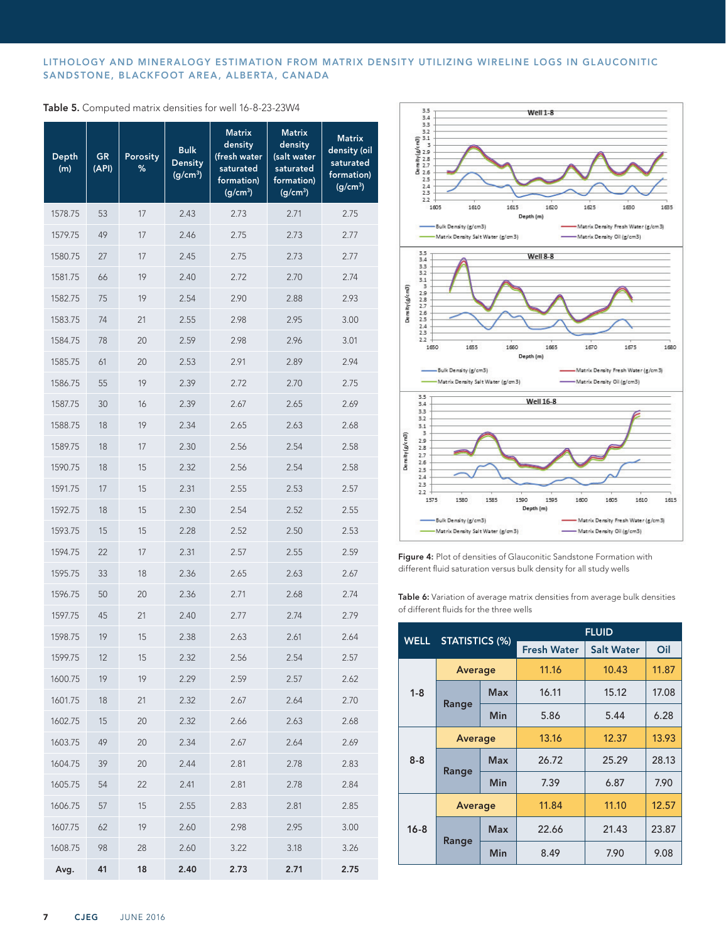## LITHOLOGY AND MINERALOGY ESTIMATION FROM MATRIX DENSITY UTILIZING WIRELINE LOGS IN GLAUCONITIC SANDSTONE, BLACKFOOT AREA, ALBERTA, CANADA

|  | Table 5. Computed matrix densities for well 16-8-23-23W4 |  |  |  |  |  |
|--|----------------------------------------------------------|--|--|--|--|--|
|--|----------------------------------------------------------|--|--|--|--|--|

| Depth<br>(m) | GR<br>(API) | Porosity<br>% | <b>Bulk</b><br>Density<br>(g/cm <sup>3</sup> ) | <b>Matrix</b><br>density<br>(fresh water<br>saturated<br>formation)<br>(g/cm <sup>3</sup> ) | <b>Matrix</b><br>density<br>(salt water<br>saturated<br>formation)<br>(g/cm <sup>3</sup> ) | <b>Matrix</b><br>density (oil<br>saturated<br>formation)<br>(g/cm <sup>3</sup> ) |
|--------------|-------------|---------------|------------------------------------------------|---------------------------------------------------------------------------------------------|--------------------------------------------------------------------------------------------|----------------------------------------------------------------------------------|
| 1578.75      | 53          | 17            | 2.43                                           | 2.73                                                                                        | 2.71                                                                                       | 2.75                                                                             |
| 1579.75      | 49          | 17            | 2.46                                           | 2.75                                                                                        | 2.73                                                                                       | 2.77                                                                             |
| 1580.75      | 27          | 17            | 2.45                                           | 2.75                                                                                        | 2.73                                                                                       | 2.77                                                                             |
| 1581.75      | 66          | 19            | 2.40                                           | 2.72                                                                                        | 2.70                                                                                       | 2.74                                                                             |
| 1582.75      | 75          | 19            | 2.54                                           | 2.90                                                                                        | 2.88                                                                                       | 2.93                                                                             |
| 1583.75      | 74          | 21            | 2.55                                           | 2.98                                                                                        | 2.95                                                                                       | 3.00                                                                             |
| 1584.75      | 78          | 20            | 2.59                                           | 2.98                                                                                        | 2.96                                                                                       | 3.01                                                                             |
| 1585.75      | 61          | 20            | 2.53                                           | 2.91                                                                                        | 2.89                                                                                       | 2.94                                                                             |
| 1586.75      | 55          | 19            | 2.39                                           | 2.72                                                                                        | 2.70                                                                                       | 2.75                                                                             |
| 1587.75      | 30          | 16            | 2.39                                           | 2.67                                                                                        | 2.65                                                                                       | 2.69                                                                             |
| 1588.75      | 18          | 19            | 2.34                                           | 2.65                                                                                        | 2.63                                                                                       | 2.68                                                                             |
| 1589.75      | 18          | 17            | 2.30                                           | 2.56                                                                                        | 2.54                                                                                       | 2.58                                                                             |
| 1590.75      | 18          | 15            | 2.32                                           | 2.56                                                                                        | 2.54                                                                                       | 2.58                                                                             |
| 1591.75      | 17          | 15            | 2.31                                           | 2.55                                                                                        | 2.53                                                                                       | 2.57                                                                             |
| 1592.75      | 18          | 15            | 2.30                                           | 2.54                                                                                        | 2.52                                                                                       | 2.55                                                                             |
| 1593.75      | 15          | 15            | 2.28                                           | 2.52                                                                                        | 2.50                                                                                       | 2.53                                                                             |
| 1594.75      | 22          | 17            | 2.31                                           | 2.57                                                                                        | 2.55                                                                                       | 2.59                                                                             |
| 1595.75      | 33          | 18            | 2.36                                           | 2.65                                                                                        | 2.63                                                                                       | 2.67                                                                             |
| 1596.75      | 50          | 20            | 2.36                                           | 2.71                                                                                        | 2.68                                                                                       | 2.74                                                                             |
| 1597.75      | 45          | 21            | 2.40                                           | 2.77                                                                                        | 2.74                                                                                       | 2.79                                                                             |
| 1598.75      | 19          | 15            | 2.38                                           | 2.63                                                                                        | 2.61                                                                                       | 2.64                                                                             |
| 1599.75      | 12          | 15            | 2.32                                           | 2.56                                                                                        | 2.54                                                                                       | 2.57                                                                             |
| 1600.75      | 19          | 19            | 2.29                                           | 2.59                                                                                        | 2.57                                                                                       | 2.62                                                                             |
| 1601.75      | 18          | 21            | 2.32                                           | 2.67                                                                                        | 2.64                                                                                       | 2.70                                                                             |
| 1602.75      | 15          | 20            | 2.32                                           | 2.66                                                                                        | 2.63                                                                                       | 2.68                                                                             |
| 1603.75      | 49          | 20            | 2.34                                           | 2.67                                                                                        | 2.64                                                                                       | 2.69                                                                             |
| 1604.75      | 39          | $20\,$        | 2.44                                           | 2.81                                                                                        | 2.78                                                                                       | 2.83                                                                             |
| 1605.75      | 54          | 22            | 2.41                                           | 2.81                                                                                        | 2.78                                                                                       | 2.84                                                                             |
| 1606.75      | 57          | 15            | 2.55                                           | 2.83                                                                                        | 2.81                                                                                       | 2.85                                                                             |
| 1607.75      | 62          | 19            | 2.60                                           | 2.98                                                                                        | 2.95                                                                                       | 3.00                                                                             |
| 1608.75      | 98          | 28            | 2.60                                           | 3.22                                                                                        | 3.18                                                                                       | 3.26                                                                             |
| Avg.         | 41          | 18            | 2.40                                           | 2.73                                                                                        | 2.71                                                                                       | 2.75                                                                             |



Figure 4: Plot of densities of Glauconitic Sandstone Formation with different fluid saturation versus bulk density for all study wells

Table 6: Variation of average matrix densities from average bulk densities of different fluids for the three wells

| <b>STATISTICS (%)</b><br><b>WELL</b> |                | <b>FLUID</b> |                                                                                 |                   |       |
|--------------------------------------|----------------|--------------|---------------------------------------------------------------------------------|-------------------|-------|
|                                      |                |              | <b>Fresh Water</b><br>11.16<br>16.11<br>5.86<br>13.16<br>26.72<br>7.39<br>11.84 | <b>Salt Water</b> | Oil   |
|                                      | Average        |              |                                                                                 | 10.43             | 11.87 |
| $1 - 8$                              |                | Max          |                                                                                 | 15.12             | 17.08 |
|                                      | Range          | Min          |                                                                                 | 5.44              | 6.28  |
|                                      | <b>Average</b> |              |                                                                                 | 12.37             | 13.93 |
| $8 - 8$                              | Range          | <b>Max</b>   |                                                                                 | 25.29             | 28.13 |
|                                      |                | Min          |                                                                                 | 6.87              | 7.90  |
|                                      | <b>Average</b> |              |                                                                                 | 11.10             | 12.57 |
| $16 - 8$                             |                | <b>Max</b>   | 22.66                                                                           | 21.43             | 23.87 |
|                                      | Range          | Min          | 8.49                                                                            | 7.90              | 9.08  |